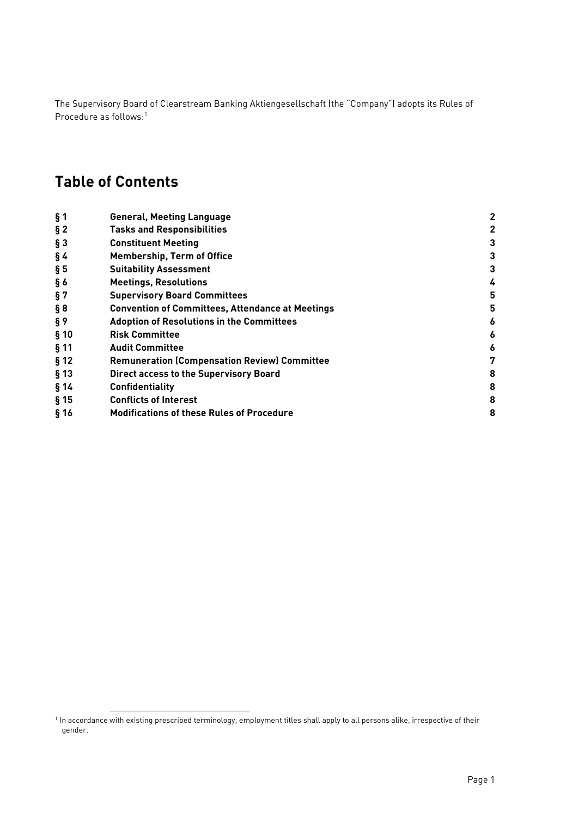The Supervisory Board of Clearstream Banking Aktiengesellschaft (the "Company") adopts its Rules of Procedure as follows:<sup>[1](#page-0-0)</sup>

# **Table of Contents**

| $§$ 1  | <b>General, Meeting Language</b>                        | 2 |
|--------|---------------------------------------------------------|---|
| $§$ 2  | <b>Tasks and Responsibilities</b>                       | 2 |
| $§$ 3  | <b>Constituent Meeting</b>                              | 3 |
| §4     | <b>Membership, Term of Office</b>                       | 3 |
| $\S5$  | <b>Suitability Assessment</b>                           | 3 |
| § 6    | <b>Meetings, Resolutions</b>                            | 4 |
| §7     | <b>Supervisory Board Committees</b>                     | 5 |
| § 8    | <b>Convention of Committees, Attendance at Meetings</b> | 5 |
| §9     | <b>Adoption of Resolutions in the Committees</b>        | 6 |
| § 10   | <b>Risk Committee</b>                                   | 6 |
| $§$ 11 | <b>Audit Committee</b>                                  | 6 |
| § 12   | <b>Remuneration (Compensation Review) Committee</b>     | 7 |
| $§$ 13 | <b>Direct access to the Supervisory Board</b>           | 8 |
| §14    | <b>Confidentiality</b>                                  | 8 |
| $§$ 15 | <b>Conflicts of Interest</b>                            | 8 |
| § 16   | <b>Modifications of these Rules of Procedure</b>        | 8 |

<span id="page-0-0"></span><sup>&</sup>lt;sup>1</sup> In accordance with existing prescribed terminology, employment titles shall apply to all persons alike, irrespective of their gender.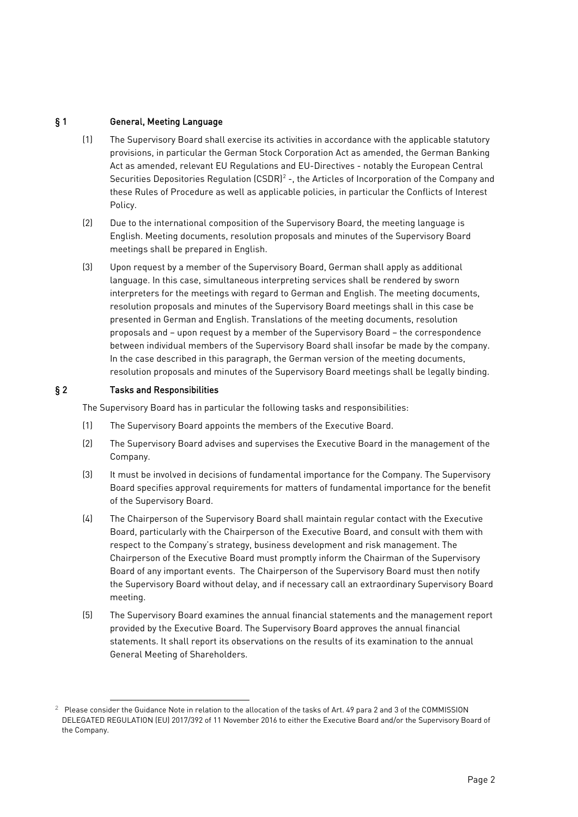# <span id="page-1-0"></span>§ 1 General, Meeting Language

- (1) The Supervisory Board shall exercise its activities in accordance with the applicable statutory provisions, in particular the German Stock Corporation Act as amended, the German Banking Act as amended, relevant EU Regulations and EU-Directives - notably the European Central Securities Depositories Regulation  $(CSDR)^2$  $(CSDR)^2$  -, the Articles of Incorporation of the Company and these Rules of Procedure as well as applicable policies, in particular the Conflicts of Interest Policy.
- (2) Due to the international composition of the Supervisory Board, the meeting language is English. Meeting documents, resolution proposals and minutes of the Supervisory Board meetings shall be prepared in English.
- (3) Upon request by a member of the Supervisory Board, German shall apply as additional language. In this case, simultaneous interpreting services shall be rendered by sworn interpreters for the meetings with regard to German and English. The meeting documents, resolution proposals and minutes of the Supervisory Board meetings shall in this case be presented in German and English. Translations of the meeting documents, resolution proposals and – upon request by a member of the Supervisory Board – the correspondence between individual members of the Supervisory Board shall insofar be made by the company. In the case described in this paragraph, the German version of the meeting documents, resolution proposals and minutes of the Supervisory Board meetings shall be legally binding.

# <span id="page-1-1"></span>§ 2 Tasks and Responsibilities

The Supervisory Board has in particular the following tasks and responsibilities:

- (1) The Supervisory Board appoints the members of the Executive Board.
- (2) The Supervisory Board advises and supervises the Executive Board in the management of the Company.
- (3) It must be involved in decisions of fundamental importance for the Company. The Supervisory Board specifies approval requirements for matters of fundamental importance for the benefit of the Supervisory Board.
- (4) The Chairperson of the Supervisory Board shall maintain regular contact with the Executive Board, particularly with the Chairperson of the Executive Board, and consult with them with respect to the Company's strategy, business development and risk management. The Chairperson of the Executive Board must promptly inform the Chairman of the Supervisory Board of any important events. The Chairperson of the Supervisory Board must then notify the Supervisory Board without delay, and if necessary call an extraordinary Supervisory Board meeting.
- (5) The Supervisory Board examines the annual financial statements and the management report provided by the Executive Board. The Supervisory Board approves the annual financial statements. It shall report its observations on the results of its examination to the annual General Meeting of Shareholders.

<span id="page-1-2"></span><sup>&</sup>lt;sup>2</sup> Please consider the Guidance Note in relation to the allocation of the tasks of Art. 49 para 2 and 3 of the COMMISSION DELEGATED REGULATION (EU) 2017/392 of 11 November 2016 to either the Executive Board and/or the Supervisory Board of the Company.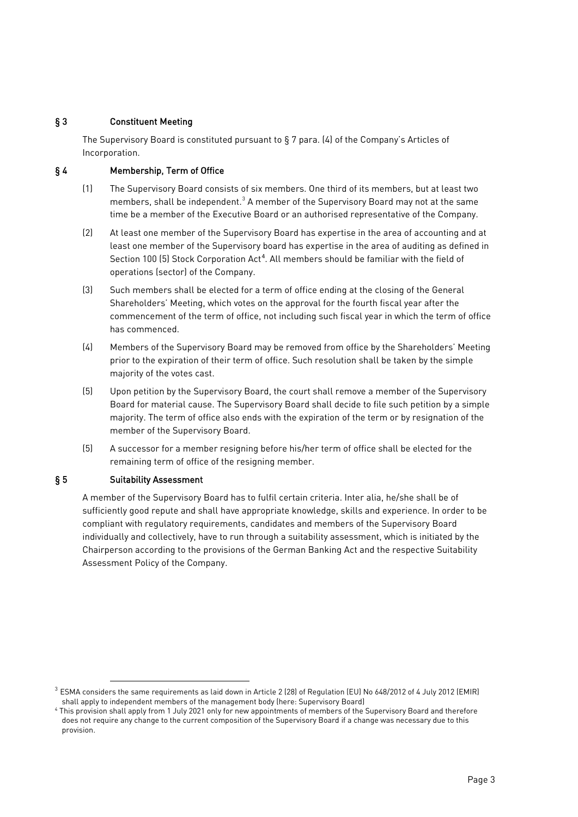# <span id="page-2-0"></span>§ 3 Constituent Meeting

The Supervisory Board is constituted pursuant to § 7 para. (4) of the Company's Articles of Incorporation.

# <span id="page-2-1"></span>§ 4 Membership, Term of Office

- (1) The Supervisory Board consists of six members. One third of its members, but at least two members, shall be independent.<sup>[3](#page-2-3)</sup> A member of the Supervisory Board may not at the same time be a member of the Executive Board or an authorised representative of the Company.
- (2) At least one member of the Supervisory Board has expertise in the area of accounting and at least one member of the Supervisory board has expertise in the area of auditing as defined in Section 100 (5) Stock Corporation Act<sup>[4](#page-2-4)</sup>. All members should be familiar with the field of operations (sector) of the Company.
- (3) Such members shall be elected for a term of office ending at the closing of the General Shareholders' Meeting, which votes on the approval for the fourth fiscal year after the commencement of the term of office, not including such fiscal year in which the term of office has commenced.
- (4) Members of the Supervisory Board may be removed from office by the Shareholders' Meeting prior to the expiration of their term of office. Such resolution shall be taken by the simple majority of the votes cast.
- (5) Upon petition by the Supervisory Board, the court shall remove a member of the Supervisory Board for material cause. The Supervisory Board shall decide to file such petition by a simple majority. The term of office also ends with the expiration of the term or by resignation of the member of the Supervisory Board.
- (5) A successor for a member resigning before his/her term of office shall be elected for the remaining term of office of the resigning member.

# <span id="page-2-2"></span>§ 5 Suitability Assessment

A member of the Supervisory Board has to fulfil certain criteria. Inter alia, he/she shall be of sufficiently good repute and shall have appropriate knowledge, skills and experience. In order to be compliant with regulatory requirements, candidates and members of the Supervisory Board individually and collectively, have to run through a suitability assessment, which is initiated by the Chairperson according to the provisions of the German Banking Act and the respective Suitability Assessment Policy of the Company.

<span id="page-2-3"></span> $3$  ESMA considers the same requirements as laid down in Article 2 (28) of Requlation (EU) No 648/2012 of 4 July 2012 (EMIR) shall apply to independent members of the management body (here: Supervisory Board)

<span id="page-2-4"></span><sup>4</sup> This provision shall apply from 1 July 2021 only for new appointments of members of the Supervisory Board and therefore does not require any change to the current composition of the Supervisory Board if a change was necessary due to this provision.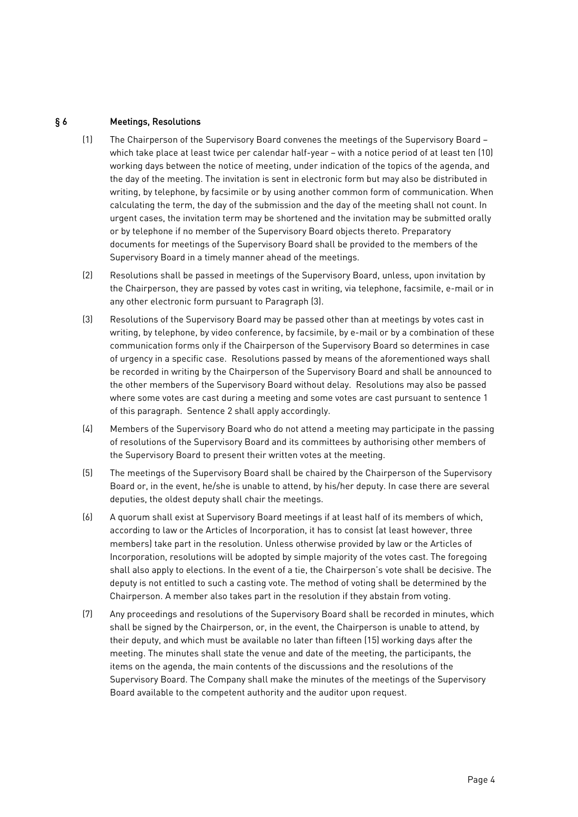## <span id="page-3-0"></span>§ 6 Meetings, Resolutions

- (1) The Chairperson of the Supervisory Board convenes the meetings of the Supervisory Board which take place at least twice per calendar half-year – with a notice period of at least ten (10) working days between the notice of meeting, under indication of the topics of the agenda, and the day of the meeting. The invitation is sent in electronic form but may also be distributed in writing, by telephone, by facsimile or by using another common form of communication. When calculating the term, the day of the submission and the day of the meeting shall not count. In urgent cases, the invitation term may be shortened and the invitation may be submitted orally or by telephone if no member of the Supervisory Board objects thereto. Preparatory documents for meetings of the Supervisory Board shall be provided to the members of the Supervisory Board in a timely manner ahead of the meetings.
- (2) Resolutions shall be passed in meetings of the Supervisory Board, unless, upon invitation by the Chairperson, they are passed by votes cast in writing, via telephone, facsimile, e-mail or in any other electronic form pursuant to Paragraph (3).
- (3) Resolutions of the Supervisory Board may be passed other than at meetings by votes cast in writing, by telephone, by video conference, by facsimile, by e-mail or by a combination of these communication forms only if the Chairperson of the Supervisory Board so determines in case of urgency in a specific case. Resolutions passed by means of the aforementioned ways shall be recorded in writing by the Chairperson of the Supervisory Board and shall be announced to the other members of the Supervisory Board without delay. Resolutions may also be passed where some votes are cast during a meeting and some votes are cast pursuant to sentence 1 of this paragraph. Sentence 2 shall apply accordingly.
- (4) Members of the Supervisory Board who do not attend a meeting may participate in the passing of resolutions of the Supervisory Board and its committees by authorising other members of the Supervisory Board to present their written votes at the meeting.
- (5) The meetings of the Supervisory Board shall be chaired by the Chairperson of the Supervisory Board or, in the event, he/she is unable to attend, by his/her deputy. In case there are several deputies, the oldest deputy shall chair the meetings.
- (6) A quorum shall exist at Supervisory Board meetings if at least half of its members of which, according to law or the Articles of Incorporation, it has to consist (at least however, three members) take part in the resolution. Unless otherwise provided by law or the Articles of Incorporation, resolutions will be adopted by simple majority of the votes cast. The foregoing shall also apply to elections. In the event of a tie, the Chairperson's vote shall be decisive. The deputy is not entitled to such a casting vote. The method of voting shall be determined by the Chairperson. A member also takes part in the resolution if they abstain from voting.
- (7) Any proceedings and resolutions of the Supervisory Board shall be recorded in minutes, which shall be signed by the Chairperson, or, in the event, the Chairperson is unable to attend, by their deputy, and which must be available no later than fifteen (15) working days after the meeting. The minutes shall state the venue and date of the meeting, the participants, the items on the agenda, the main contents of the discussions and the resolutions of the Supervisory Board. The Company shall make the minutes of the meetings of the Supervisory Board available to the competent authority and the auditor upon request.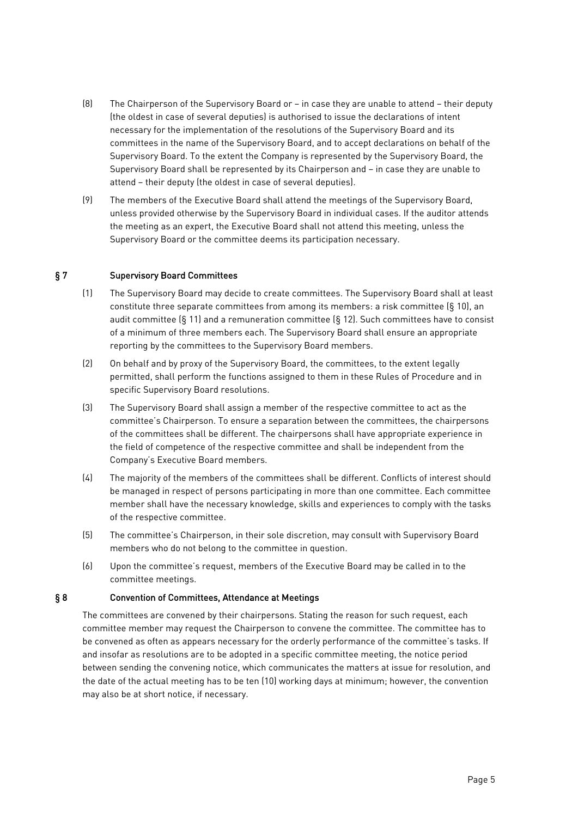- (8) The Chairperson of the Supervisory Board or in case they are unable to attend their deputy (the oldest in case of several deputies) is authorised to issue the declarations of intent necessary for the implementation of the resolutions of the Supervisory Board and its committees in the name of the Supervisory Board, and to accept declarations on behalf of the Supervisory Board. To the extent the Company is represented by the Supervisory Board, the Supervisory Board shall be represented by its Chairperson and – in case they are unable to attend – their deputy (the oldest in case of several deputies).
- (9) The members of the Executive Board shall attend the meetings of the Supervisory Board, unless provided otherwise by the Supervisory Board in individual cases. If the auditor attends the meeting as an expert, the Executive Board shall not attend this meeting, unless the Supervisory Board or the committee deems its participation necessary.

## <span id="page-4-0"></span>§ 7 Supervisory Board Committees

- (1) The Supervisory Board may decide to create committees. The Supervisory Board shall at least constitute three separate committees from among its members: a risk committee (§ 10), an audit committee (§ 11) and a remuneration committee (§ 12). Such committees have to consist of a minimum of three members each. The Supervisory Board shall ensure an appropriate reporting by the committees to the Supervisory Board members.
- (2) On behalf and by proxy of the Supervisory Board, the committees, to the extent legally permitted, shall perform the functions assigned to them in these Rules of Procedure and in specific Supervisory Board resolutions.
- (3) The Supervisory Board shall assign a member of the respective committee to act as the committee's Chairperson. To ensure a separation between the committees, the chairpersons of the committees shall be different. The chairpersons shall have appropriate experience in the field of competence of the respective committee and shall be independent from the Company's Executive Board members.
- (4) The majority of the members of the committees shall be different. Conflicts of interest should be managed in respect of persons participating in more than one committee. Each committee member shall have the necessary knowledge, skills and experiences to comply with the tasks of the respective committee.
- (5) The committee's Chairperson, in their sole discretion, may consult with Supervisory Board members who do not belong to the committee in question.
- (6) Upon the committee's request, members of the Executive Board may be called in to the committee meetings.

#### <span id="page-4-1"></span>§ 8 Convention of Committees, Attendance at Meetings

The committees are convened by their chairpersons. Stating the reason for such request, each committee member may request the Chairperson to convene the committee. The committee has to be convened as often as appears necessary for the orderly performance of the committee's tasks. If and insofar as resolutions are to be adopted in a specific committee meeting, the notice period between sending the convening notice, which communicates the matters at issue for resolution, and the date of the actual meeting has to be ten (10) working days at minimum; however, the convention may also be at short notice, if necessary.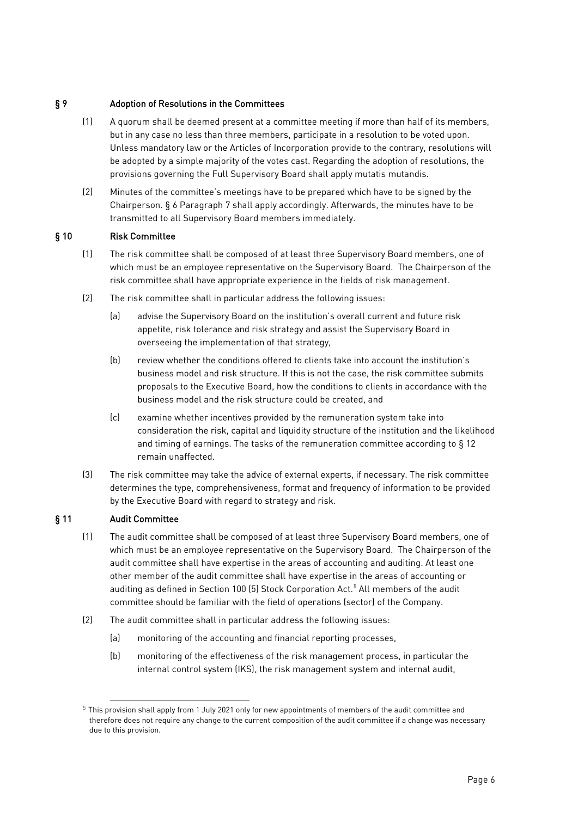## <span id="page-5-0"></span>§ 9 Adoption of Resolutions in the Committees

- (1) A quorum shall be deemed present at a committee meeting if more than half of its members, but in any case no less than three members, participate in a resolution to be voted upon. Unless mandatory law or the Articles of Incorporation provide to the contrary, resolutions will be adopted by a simple majority of the votes cast. Regarding the adoption of resolutions, the provisions governing the Full Supervisory Board shall apply mutatis mutandis.
- (2) Minutes of the committee's meetings have to be prepared which have to be signed by the Chairperson. § 6 Paragraph 7 shall apply accordingly. Afterwards, the minutes have to be transmitted to all Supervisory Board members immediately.

# <span id="page-5-1"></span>§ 10 Risk Committee

- (1) The risk committee shall be composed of at least three Supervisory Board members, one of which must be an employee representative on the Supervisory Board. The Chairperson of the risk committee shall have appropriate experience in the fields of risk management.
- (2) The risk committee shall in particular address the following issues:
	- (a) advise the Supervisory Board on the institution's overall current and future risk appetite, risk tolerance and risk strategy and assist the Supervisory Board in overseeing the implementation of that strategy,
	- (b) review whether the conditions offered to clients take into account the institution's business model and risk structure. If this is not the case, the risk committee submits proposals to the Executive Board, how the conditions to clients in accordance with the business model and the risk structure could be created, and
	- (c) examine whether incentives provided by the remuneration system take into consideration the risk, capital and liquidity structure of the institution and the likelihood and timing of earnings. The tasks of the remuneration committee according to § 12 remain unaffected.
- (3) The risk committee may take the advice of external experts, if necessary. The risk committee determines the type, comprehensiveness, format and frequency of information to be provided by the Executive Board with regard to strategy and risk.

# <span id="page-5-2"></span>§ 11 Audit Committee

- (1) The audit committee shall be composed of at least three Supervisory Board members, one of which must be an employee representative on the Supervisory Board. The Chairperson of the audit committee shall have expertise in the areas of accounting and auditing. At least one other member of the audit committee shall have expertise in the areas of accounting or auditing as defined in Section 100 (5) Stock Corporation Act. [5](#page-5-3) All members of the audit committee should be familiar with the field of operations (sector) of the Company.
- (2) The audit committee shall in particular address the following issues:
	- (a) monitoring of the accounting and financial reporting processes,
	- (b) monitoring of the effectiveness of the risk management process, in particular the internal control system (IKS), the risk management system and internal audit,

<span id="page-5-3"></span><sup>5</sup> This provision shall apply from 1 July 2021 only for new appointments of members of the audit committee and therefore does not require any change to the current composition of the audit committee if a change was necessary due to this provision.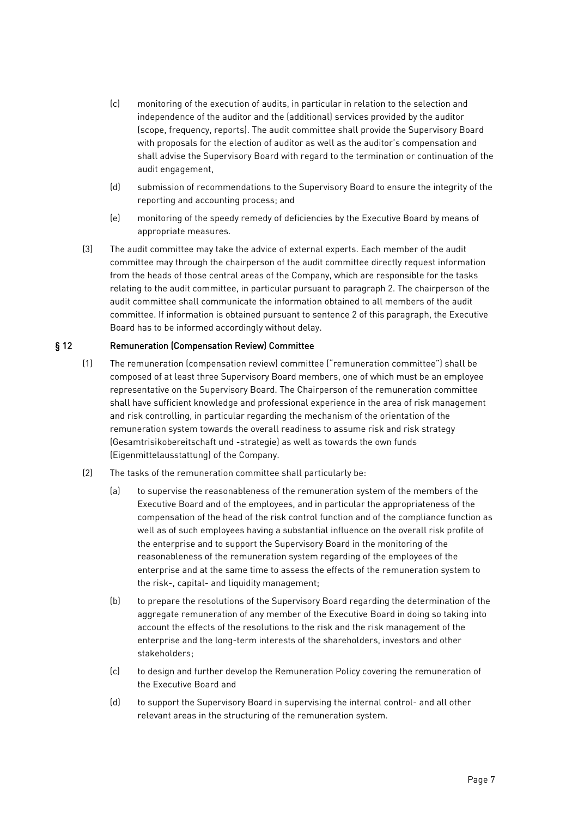- (c) monitoring of the execution of audits, in particular in relation to the selection and independence of the auditor and the (additional) services provided by the auditor (scope, frequency, reports). The audit committee shall provide the Supervisory Board with proposals for the election of auditor as well as the auditor's compensation and shall advise the Supervisory Board with regard to the termination or continuation of the audit engagement,
- (d) submission of recommendations to the Supervisory Board to ensure the integrity of the reporting and accounting process; and
- (e) monitoring of the speedy remedy of deficiencies by the Executive Board by means of appropriate measures.
- (3) The audit committee may take the advice of external experts. Each member of the audit committee may through the chairperson of the audit committee directly request information from the heads of those central areas of the Company, which are responsible for the tasks relating to the audit committee, in particular pursuant to paragraph 2. The chairperson of the audit committee shall communicate the information obtained to all members of the audit committee. If information is obtained pursuant to sentence 2 of this paragraph, the Executive Board has to be informed accordingly without delay.

## <span id="page-6-0"></span>§ 12 Remuneration (Compensation Review) Committee

- (1) The remuneration (compensation review) committee ("remuneration committee") shall be composed of at least three Supervisory Board members, one of which must be an employee representative on the Supervisory Board. The Chairperson of the remuneration committee shall have sufficient knowledge and professional experience in the area of risk management and risk controlling, in particular regarding the mechanism of the orientation of the remuneration system towards the overall readiness to assume risk and risk strategy (Gesamtrisikobereitschaft und -strategie) as well as towards the own funds (Eigenmittelausstattung) of the Company.
- (2) The tasks of the remuneration committee shall particularly be:
	- (a) to supervise the reasonableness of the remuneration system of the members of the Executive Board and of the employees, and in particular the appropriateness of the compensation of the head of the risk control function and of the compliance function as well as of such employees having a substantial influence on the overall risk profile of the enterprise and to support the Supervisory Board in the monitoring of the reasonableness of the remuneration system regarding of the employees of the enterprise and at the same time to assess the effects of the remuneration system to the risk-, capital- and liquidity management;
	- (b) to prepare the resolutions of the Supervisory Board regarding the determination of the aggregate remuneration of any member of the Executive Board in doing so taking into account the effects of the resolutions to the risk and the risk management of the enterprise and the long-term interests of the shareholders, investors and other stakeholders;
	- (c) to design and further develop the Remuneration Policy covering the remuneration of the Executive Board and
	- (d) to support the Supervisory Board in supervising the internal control- and all other relevant areas in the structuring of the remuneration system.